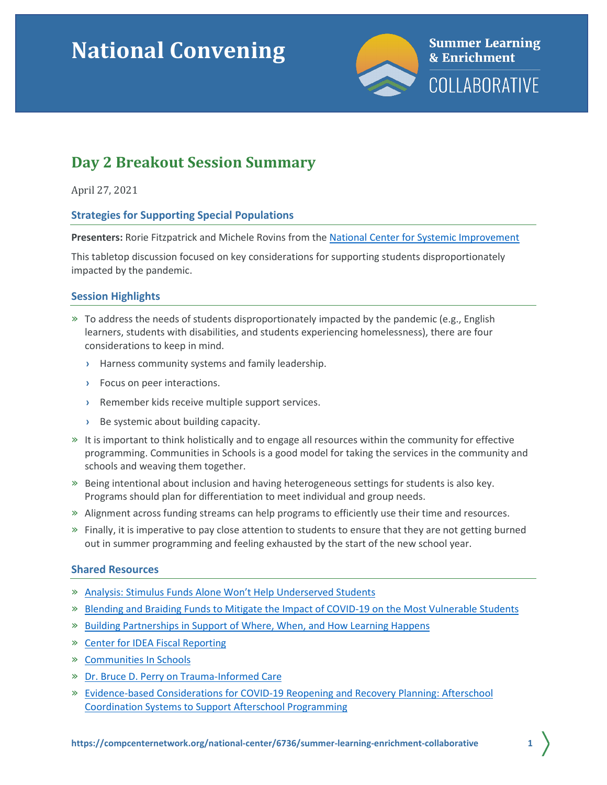# **National Convening**



# **Day 2 Breakout Session Summary**

April 27, 2021

# **Strategies for Supporting Special Populations**

**Presenters:** Rorie Fitzpatrick and Michele Rovins from the [National Center for Systemic Improvement](https://ncsi.wested.org/)

This tabletop discussion focused on key considerations for supporting students disproportionately impacted by the pandemic.

# **Session Highlights**

- $\gg$  To address the needs of students disproportionately impacted by the pandemic (e.g., English learners, students with disabilities, and students experiencing homelessness), there are four considerations to keep in mind.
	- **›** Harness community systems and family leadership.
	- **›** Focus on peer interactions.
	- **›** Remember kids receive multiple support services.
	- **›** Be systemic about building capacity.
- » It is important to think holistically and to engage all resources within the community for effective programming. Communities in Schools is a good model for taking the services in the community and schools and weaving them together.
- » Being intentional about inclusion and having heterogeneous settings for students is also key. Programs should plan for differentiation to meet individual and group needs.
- » Alignment across funding streams can help programs to efficiently use their time and resources.
- » Finally, it is imperative to pay close attention to students to ensure that they are not getting burned out in summer programming and feeling exhausted by the start of the new school year.

# **Shared Resources**

- » [Analysis: Stimulus Funds Alone Won't Help Underserved Students](https://www.the74million.org/article/analysis-stimulus-funds-alone-wont-help-underserved-students-states-must-make-sure-they-reach-students-who-are-homeless-living-with-disabilities-english-learners/)
- » [Blending and Braiding Funds to Mitigate the Impact of COVID-19 on the Most Vulnerable Students](https://ncsi.wested.org/uncategorized/ncsi-webinar-series-strategic-resource-management-in-response-to-covid-19-recording-and-slides/)
- » [Building Partnerships in Support of Where, When, and How Learning Happens](http://nationathope.org/wp-content/uploads/aspen_yd_final_2_web-11.18.pdf)
- » [Center for IDEA Fiscal Reporting](https://cifr.wested.org/)
- » [Communities In Schools](http://www.communitiesinschools.org/)
- » [Dr. Bruce D. Perry on Trauma-Informed Care](https://www.commcare1.org/post/dr-bruce-d-perry-on-trauma-informed-care)
- » Evidence-based Considerations for [COVID-19 Reopening and Recovery Planning:](http://afterschoolalliance.org/documents/WallaceFoundationBriefonImplementationConsiderationsforCoordinatedAfterschoolSystemsMarch2021.pdf) Afterschool Coordination Systems [to Support Afterschool Programming](http://afterschoolalliance.org/documents/WallaceFoundationBriefonImplementationConsiderationsforCoordinatedAfterschoolSystemsMarch2021.pdf)